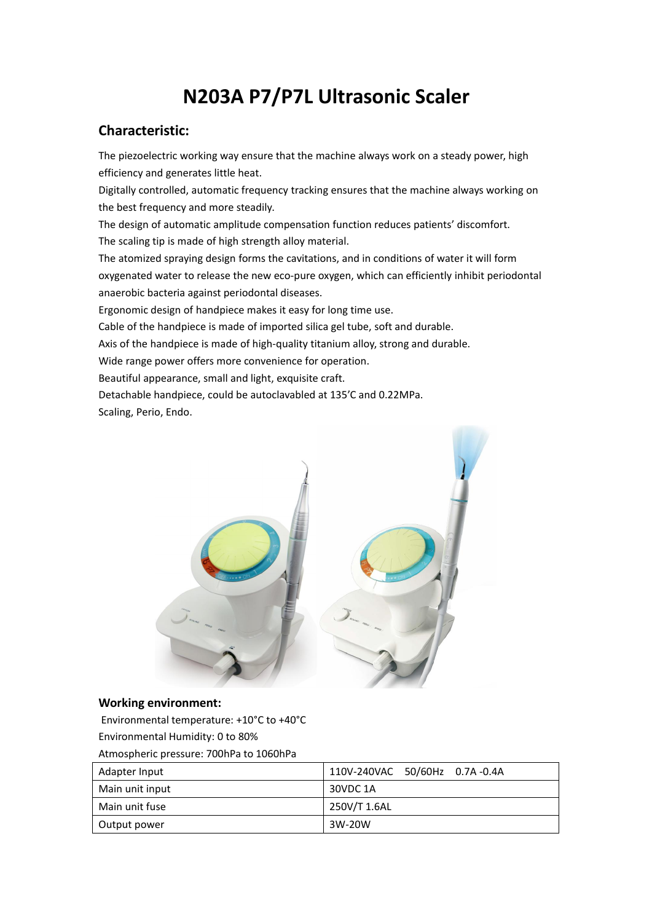## **N203A P7/P7L Ultrasonic Scaler**

## **Characteristic:**

The piezoelectric working way ensure that the machine always work on a steady power, high efficiency and generates little heat.

Digitally controlled, automatic frequency tracking ensures that the machine always working on the best frequency and more steadily.

The design of automatic amplitude compensation function reduces patients' discomfort. The scaling tip is made of high strength alloy material.

The atomized spraying design forms the cavitations, and in conditions of water it will form oxygenated water to release the new eco-pure oxygen, which can efficiently inhibit periodontal anaerobic bacteria against periodontal diseases.

Ergonomic design of handpiece makes it easy for long time use.

Cable of the handpiece is made of imported silica gel tube, soft and durable.

Axis of the handpiece is made of high-quality titanium alloy, strong and durable.

Wide range power offers more convenience for operation.

Beautiful appearance, small and light, exquisite craft.

Detachable handpiece, could be autoclavabled at 135'C and 0.22MPa.

Scaling, Perio, Endo.



## **Working environment:**

Environmental temperature: +10°C to +40°C Environmental Humidity: 0 to 80%

Atmospheric pressure: 700hPa to 1060hPa

| Adapter Input   | 110V-240VAC 50/60Hz 0.7A-0.4A |
|-----------------|-------------------------------|
| Main unit input | 30VDC 1A                      |
| Main unit fuse  | 250V/T 1.6AL                  |
| Output power    | 3W-20W                        |